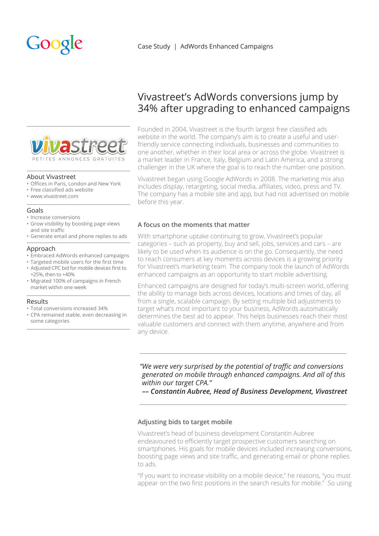# Google



### About Vivastreet

- • Offices in Paris, London and New York
- • Free classified ads website
- • www.vivastreet.com

#### Goals

- • Increase conversions
- • Grow visibility by boosting page views and site traffic
- • Generate email and phone replies to ads

### Approach

- • Embraced AdWords enhanced campaigns
- Targeted mobile users for the first time
- • Adjusted CPC bid for mobile devices first to +25%, then to +40%
- • Migrated 100% of campaigns in French market within one week

### Results

- • Total conversions increased 34%
- • CPA remained stable, even decreasing in some categories

# Vivastreet's AdWords conversions jump by 34% after upgrading to enhanced campaigns

Founded in 2004, Vivastreet is the fourth largest free classified ads website in the world. The company's aim is to create a useful and userfriendly service connecting individuals, businesses and communities to one another, whether in their local area or across the globe. Vivastreet is a market leader in France, Italy, Belgium and Latin America, and a strong challenger in the UK where the goal is to reach the number-one position.

Vivastreet began using Google AdWords in 2008. The marketing mix also includes display, retargeting, social media, affiliates, video, press and TV. The company has a mobile site and app, but had not advertised on mobile before this year.

# **A focus on the moments that matter**

With smartphone uptake continuing to grow, Vivastreet's popular categories – such as property, buy and sell, jobs, services and cars – are likely to be used when its audience is on the go. Consequently, the need to reach consumers at key moments across devices is a growing priority for Vivastreet's marketing team. The company took the launch of AdWords enhanced campaigns as an opportunity to start mobile advertising.

Enhanced campaigns are designed for today's multi-screen world, offering the ability to manage bids across devices, locations and times of day, all from a single, scalable campaign. By setting multiple bid adjustments to target what's most important to your business, AdWords automatically determines the best ad to appear. This helps businesses reach their most valuable customers and connect with them anytime, anywhere and from any device.

*"We were very surprised by the potential of traffic and conversions generated on mobile through enhanced campaigns. And all of this within our target CPA."*

*–– Constantin Aubree, Head of Business Development, Vivastreet* 

### **Adjusting bids to target mobile**

Vivastreet's head of business development Constantin Aubree endeavoured to efficiently target prospective customers searching on smartphones. His goals for mobile devices included increasing conversions, boosting page views and site traffic, and generating email or phone replies to ads.

"If you want to increase visibility on a mobile device," he reasons, "you must appear on the two first positions in the search results for mobile." So using